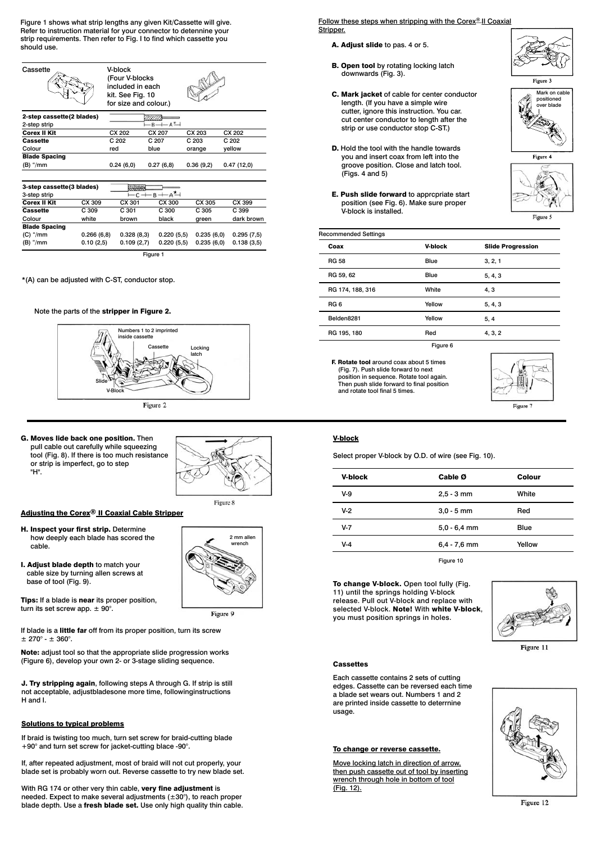Figure 1 shows what strip lengths any given Kit/Cassette will give. Refer to instruction material for your connector to detennine your strip requirements. Then refer to Fig. I to find which cassette you should use.



Figure 1

0.220 (5,5)  $0.220(5.5)$  0.235 (6,0) 0.235 (6,0) 0.295 (7,5) 0.138 (3,5)

0.328 (8,3) 0.109 (2,7)

\*(A) can be adjusted with C-ST, conductor stop.

0.266 (6,8)  $0.10(2.5)$ 

Blade Spacing (C) "/mm (B) "/mm

## Note the parts of the stripper in Figure 2.



G. Moves lide back one position. Then pull cable out carefully while squeezing tool (Fig. 8). If there is too much resistance or strip is imperfect, go to step "H".



2 mm al rench

Figure 9

Adjusting the Corex® II Coaxial Cable Stripper

- H. Inspect your first strip. Determine how deeply each blade has scored the cable.
- I. Adjust blade depth to match your cable size by turning allen screws at base of tool (Fig. 9).

Tips: If a blade is near its proper position, turn its set screw app.  $\pm$  90°.

If blade is a little far off from its proper position, turn its screw  $± 270^{\circ} - ± 360^{\circ}$ 

Note: adjust tool so that the appropriate slide progression works (Figure 6), develop your own 2- or 3-stage sliding sequence.

J. Try stripping again, following steps A through G. If strip is still not acceptable, adjustbladesone more time, followinginstructions H and I.

#### Solutions to typical problems

If braid is twisting too much, turn set screw for braid-cutting blade +90° and turn set screw for jacket-cutting blace -90°.

If, after repeated adjustment, most of braid will not cut properly, your blade set is probably worn out. Reverse cassette to try new blade set.

With RG 174 or other very thin cable, very fine adjustment is needed. Expect to make several adjustments (±30°), to reach proper blade depth. Use a fresh blade set. Use only high quality thin cable. Follow these steps when stripping with the Corex<sup>®</sup> II Coaxial Stripper.

- A. Adjust slide to pas. 4 or 5.
- **B. Open tool** by rotating locking latch downwards (Fig. 3).
- C. Mark jacket of cable for center conductor length. (If you have a simple wire cutter, ignore this instruction. You car. cut center conductor to length after the strip or use conductor stop C-ST.)
- D. Hold the tool with the handle towards you and insert coax from left into the groove position. Close and latch tool. (Figs. 4 and 5)
- E. Push slide forward to apprcpriate start position (see Fig. 6). Make sure proper V-block is installed.



 $\overline{Figure 3}$ 





Figure 5

| <b>Recommended Settings</b> |                |                          |  |  |
|-----------------------------|----------------|--------------------------|--|--|
| Coax                        | <b>V-block</b> | <b>Slide Progression</b> |  |  |
| <b>RG 58</b>                | Blue           | 3, 2, 1                  |  |  |
| RG 59, 62                   | Blue           | 5, 4, 3                  |  |  |
| RG 174, 188, 316            | White          | 4, 3                     |  |  |
| RG <sub>6</sub>             | Yellow         | 5, 4, 3                  |  |  |
| Belden8281                  | Yellow         | 5, 4                     |  |  |
| RG 195, 180                 | Red            | 4, 3, 2                  |  |  |
| Figure 6                    |                |                          |  |  |

F. Rotate tool around coax about 5 times (Fig. 7). Push slide forward to next position in sequence. Rotate tool again. Then push slide forward to final position and rotate tool final 5 times.



# V-block

Select proper V-block by O.D. of wire (see Fig. 10).

| V-block | Cable Ø        | Colour |
|---------|----------------|--------|
| V-9     | $2,5 - 3$ mm   | White  |
| $V-2$   | $3,0 - 5$ mm   | Red    |
| $V-7$   | $5,0 - 6,4$ mm | Blue   |
| $V-4$   | $6,4 - 7,6$ mm | Yellow |
|         | Figure 10      |        |

To change V-block. Open tool fully (Fig. 11) until the springs holding V-block release. Pull out V-block and replace with selected V-block. Note! With white V-block, you must position springs in holes.



Figure 11

#### **Cassettes**

Each cassette contains 2 sets of cutting edges. Cassette can be reversed each time a blade set wears out. Numbers 1 and 2 are printed inside cassette to deterrnine usage.

# To change or reverse cassette.

Move locking latch in direction of arrow, then push cassette out of tool by inserting wrench through hole in bottom of tool (Fig. 12).